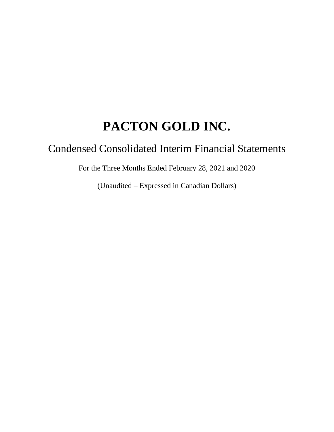# Condensed Consolidated Interim Financial Statements

For the Three Months Ended February 28, 2021 and 2020

(Unaudited – Expressed in Canadian Dollars)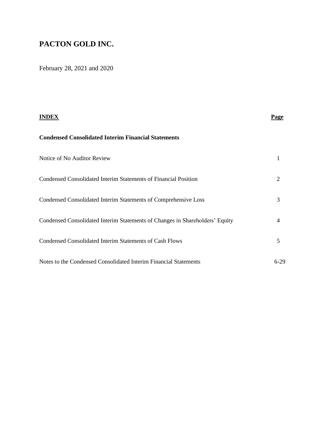February 28, 2021 and 2020

|                                                                              | Page |
|------------------------------------------------------------------------------|------|
| <b>Condensed Consolidated Interim Financial Statements</b>                   |      |
| Notice of No Auditor Review                                                  |      |
| Condensed Consolidated Interim Statements of Financial Position              | 2    |
| Condensed Consolidated Interim Statements of Comprehensive Loss              | 3    |
| Condensed Consolidated Interim Statements of Changes in Shareholders' Equity | 4    |
| <b>Condensed Consolidated Interim Statements of Cash Flows</b>               | 5    |
| Notes to the Condensed Consolidated Interim Financial Statements             | 6-29 |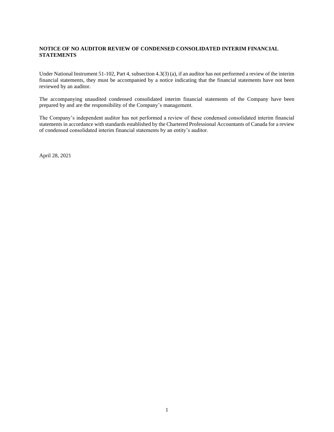#### **NOTICE OF NO AUDITOR REVIEW OF CONDENSED CONSOLIDATED INTERIM FINANCIAL STATEMENTS**

Under National Instrument 51-102, Part 4, subsection 4.3(3) (a), if an auditor has not performed a review of the interim financial statements, they must be accompanied by a notice indicating that the financial statements have not been reviewed by an auditor.

The accompanying unaudited condensed consolidated interim financial statements of the Company have been prepared by and are the responsibility of the Company's management.

The Company's independent auditor has not performed a review of these condensed consolidated interim financial statements in accordance with standards established by the Chartered Professional Accountants of Canada for a review of condensed consolidated interim financial statements by an entity's auditor.

April 28, 2021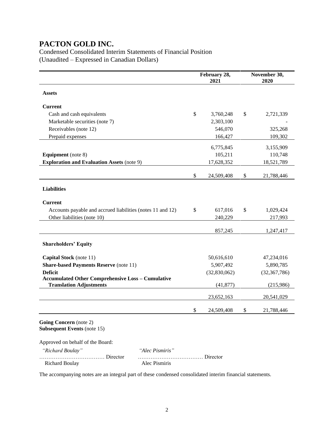Condensed Consolidated Interim Statements of Financial Position (Unaudited – Expressed in Canadian Dollars)

|                                                              |                 |    | February 28,<br>2021 | November 30,<br>2020 |                |  |  |
|--------------------------------------------------------------|-----------------|----|----------------------|----------------------|----------------|--|--|
| <b>Assets</b>                                                |                 |    |                      |                      |                |  |  |
| <b>Current</b>                                               |                 |    |                      |                      |                |  |  |
| Cash and cash equivalents                                    |                 | \$ | 3,760,248            | \$                   | 2,721,339      |  |  |
| Marketable securities (note 7)                               |                 |    | 2,303,100            |                      |                |  |  |
| Receivables (note 12)                                        |                 |    | 546,070              |                      | 325,268        |  |  |
| Prepaid expenses                                             |                 |    | 166,427              |                      | 109,302        |  |  |
|                                                              |                 |    | 6,775,845            |                      | 3,155,909      |  |  |
| <b>Equipment</b> (note 8)                                    |                 |    | 105,211              |                      | 110,748        |  |  |
| <b>Exploration and Evaluation Assets (note 9)</b>            |                 |    | 17,628,352           |                      | 18,521,789     |  |  |
|                                                              |                 | \$ | 24,509,408           | \$                   | 21,788,446     |  |  |
|                                                              |                 |    |                      |                      |                |  |  |
| <b>Liabilities</b>                                           |                 |    |                      |                      |                |  |  |
| <b>Current</b>                                               |                 |    |                      |                      |                |  |  |
| Accounts payable and accrued liabilities (notes 11 and 12)   |                 | \$ | 617,016              | \$                   | 1,029,424      |  |  |
| Other liabilities (note 10)                                  |                 |    | 240,229              |                      | 217,993        |  |  |
|                                                              |                 |    |                      |                      |                |  |  |
|                                                              |                 |    | 857,245              |                      | 1,247,417      |  |  |
| <b>Shareholders' Equity</b>                                  |                 |    |                      |                      |                |  |  |
| Capital Stock (note 11)                                      |                 |    | 50,616,610           |                      | 47,234,016     |  |  |
| <b>Share-based Payments Reserve (note 11)</b>                |                 |    | 5,907,492            |                      | 5,890,785      |  |  |
| <b>Deficit</b>                                               |                 |    | (32,830,062)         |                      | (32, 367, 786) |  |  |
| <b>Accumulated Other Comprehensive Loss - Cumulative</b>     |                 |    |                      |                      |                |  |  |
| <b>Translation Adjustments</b>                               |                 |    | (41, 877)            |                      | (215,986)      |  |  |
|                                                              |                 |    | 23,652,163           |                      | 20,541,029     |  |  |
|                                                              |                 | \$ | 24,509,408           | \$                   | 21,788,446     |  |  |
| Going Concern (note 2)<br><b>Subsequent Events (note 15)</b> |                 |    |                      |                      |                |  |  |
| Approved on behalf of the Board:                             |                 |    |                      |                      |                |  |  |
| "Richard Boulay"                                             | "Alec Pismiris" |    |                      |                      |                |  |  |
| Director<br><b>Richard Boulay</b>                            | Alec Pismiris   |    | $\ldots$ Director    |                      |                |  |  |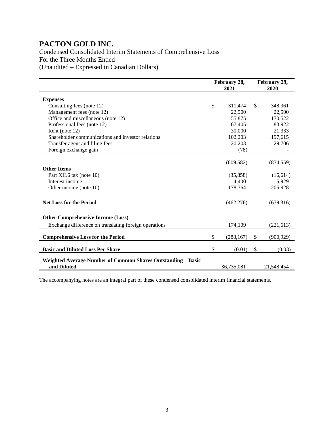Condensed Consolidated Interim Statements of Comprehensive Loss For the Three Months Ended (Unaudited – Expressed in Canadian Dollars)

|                                                                             | February 28,<br>2021 |              | February 29,<br>2020 |
|-----------------------------------------------------------------------------|----------------------|--------------|----------------------|
| <b>Expenses</b>                                                             |                      |              |                      |
| Consulting fees (note 12)                                                   | \$<br>311,474        | $\mathbb{S}$ | 348,961              |
| Management fees (note 12)                                                   | 22,500               |              | 22,500               |
| Office and miscellaneous (note 12)                                          | 55,875               |              | 170,522              |
| Professional fees (note 12)                                                 | 67,405               |              | 83,922               |
| Rent (note 12)                                                              | 30,000               |              | 21,333               |
| Shareholder communications and investor relations                           | 102,203              |              | 197,615              |
| Transfer agent and filing fees                                              | 20,203               |              | 29,706               |
| Foreign exchange gain                                                       | (78)                 |              |                      |
|                                                                             |                      |              |                      |
|                                                                             | (609, 582)           |              | (874, 559)           |
| <b>Other Items</b>                                                          |                      |              |                      |
| Part XII.6 tax (note 10)                                                    | (35, 858)            |              | (16,614)             |
| Interest income                                                             | 4,400                |              | 5,929                |
| Other income (note 10)                                                      | 178,764              |              | 205,928              |
| <b>Net Loss for the Period</b>                                              | (462, 276)           |              | (679,316)            |
| <b>Other Comprehensive Income (Loss)</b>                                    |                      |              |                      |
| Exchange difference on translating foreign operations                       | 174,109              |              | (221, 613)           |
| <b>Comprehensive Loss for the Period</b>                                    | \$<br>(288, 167)     | \$           | (900, 929)           |
| <b>Basic and Diluted Loss Per Share</b>                                     | \$<br>(0.01)         | \$           | (0.03)               |
| Weighted Average Number of Common Shares Outstanding - Basic<br>and Diluted | 36,735,081           |              | 21,548,454           |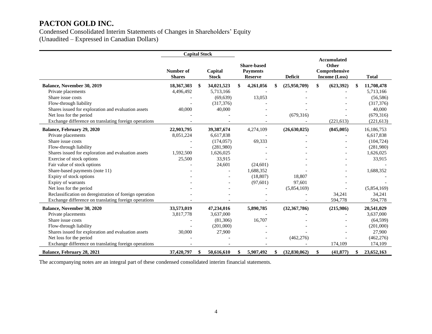Condensed Consolidated Interim Statements of Changes in Shareholders' Equity (Unaudited – Expressed in Canadian Dollars)

|                                                         | <b>Capital Stock</b>       |    |                         |                                                         |                |                |                                                               |            |    |              |
|---------------------------------------------------------|----------------------------|----|-------------------------|---------------------------------------------------------|----------------|----------------|---------------------------------------------------------------|------------|----|--------------|
|                                                         | Number of<br><b>Shares</b> |    | Capital<br><b>Stock</b> | <b>Share-based</b><br><b>Payments</b><br><b>Reserve</b> | <b>Deficit</b> |                | <b>Accumulated</b><br>Other<br>Comprehensive<br>Income (Loss) |            |    | <b>Total</b> |
| Balance, November 30, 2019                              | 18,367,303                 | \$ | 34,021,523              | \$<br>4,261,056                                         |                | (25,950,709)   | \$                                                            | (623, 392) | \$ | 11,708,478   |
| Private placements                                      | 4,496,492                  |    | 5,713,166               |                                                         |                |                |                                                               |            |    | 5,713,166    |
| Share issue costs                                       |                            |    | (69, 639)               | 13,053                                                  |                |                |                                                               |            |    | (56, 586)    |
| Flow-through liability                                  |                            |    | (317, 376)              |                                                         |                |                |                                                               |            |    | (317, 376)   |
| Shares issued for exploration and evaluation assets     | 40,000                     |    | 40,000                  |                                                         |                |                |                                                               |            |    | 40,000       |
| Net loss for the period                                 |                            |    |                         |                                                         |                | (679, 316)     |                                                               |            |    | (679, 316)   |
| Exchange difference on translating foreign operations   |                            |    |                         |                                                         |                |                |                                                               | (221, 613) |    | (221, 613)   |
| Balance, February 29, 2020                              | 22,903,795                 |    | 39,387,674              | 4,274,109                                               |                | (26, 630, 025) |                                                               | (845,005)  |    | 16,186,753   |
| Private placements                                      | 8,051,224                  |    | 6,617,838               |                                                         |                |                |                                                               |            |    | 6,617,838    |
| Share issue costs                                       |                            |    | (174, 057)              | 69,333                                                  |                |                |                                                               |            |    | (104, 724)   |
| Flow-through liability                                  |                            |    | (281,980)               |                                                         |                |                |                                                               |            |    | (281,980)    |
| Shares issued for exploration and evaluation assets     | 1,592,500                  |    | 1,626,025               |                                                         |                |                |                                                               |            |    | 1,626,025    |
| Exercise of stock options                               | 25,500                     |    | 33,915                  |                                                         |                |                |                                                               |            |    | 33,915       |
| Fair value of stock options                             |                            |    | 24,601                  | (24,601)                                                |                |                |                                                               |            |    |              |
| Share-based payments (note 11)                          |                            |    |                         | 1,688,352                                               |                |                |                                                               |            |    | 1,688,352    |
| Expiry of stock options                                 |                            |    |                         | (18, 807)                                               |                | 18,807         |                                                               |            |    |              |
| Expiry of warrants                                      |                            |    |                         | (97, 601)                                               |                | 97,601         |                                                               |            |    |              |
| Net loss for the period                                 |                            |    |                         |                                                         |                | (5,854,169)    |                                                               |            |    | (5,854,169)  |
| Reclassification on deregistration of foreign operation |                            |    |                         |                                                         |                |                |                                                               | 34,241     |    | 34,241       |
| Exchange difference on translating foreign operations   |                            |    |                         |                                                         |                |                |                                                               | 594,778    |    | 594,778      |
| <b>Balance, November 30, 2020</b>                       | 33,573,019                 |    | 47,234,016              | 5,890,785                                               |                | (32, 367, 786) |                                                               | (215,986)  |    | 20,541,029   |
| Private placements                                      | 3,817,778                  |    | 3,637,000               |                                                         |                |                |                                                               |            |    | 3,637,000    |
| Share issue costs                                       |                            |    | (81,306)                | 16,707                                                  |                |                |                                                               |            |    | (64, 599)    |
| Flow-through liability                                  |                            |    | (201,000)               |                                                         |                |                |                                                               |            |    | (201,000)    |
| Shares issued for exploration and evaluation assets     | 30,000                     |    | 27,900                  |                                                         |                |                |                                                               |            |    | 27,900       |
| Net loss for the period                                 |                            |    |                         |                                                         |                | (462, 276)     |                                                               |            |    | (462, 276)   |
| Exchange difference on translating foreign operations   |                            |    |                         |                                                         |                |                |                                                               | 174,109    |    | 174,109      |
| Balance, February 28, 2021                              | 37,420,797                 | \$ | 50,616,610              | \$<br>5,907,492                                         | \$             | (32,830,062)   | \$                                                            | (41, 877)  | \$ | 23,652,163   |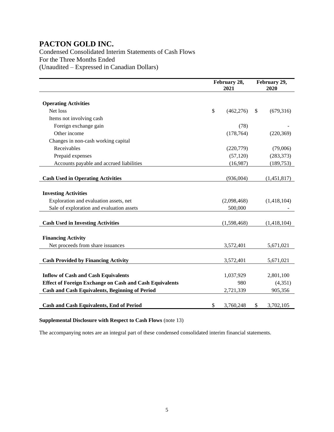Condensed Consolidated Interim Statements of Cash Flows For the Three Months Ended (Unaudited – Expressed in Canadian Dollars)

|                                                                       | February 28,<br>2021 |             |    | February 29,<br>2020 |
|-----------------------------------------------------------------------|----------------------|-------------|----|----------------------|
| <b>Operating Activities</b>                                           |                      |             |    |                      |
| Net loss                                                              | \$                   | (462, 276)  | \$ | (679,316)            |
| Items not involving cash                                              |                      |             |    |                      |
| Foreign exchange gain                                                 |                      | (78)        |    |                      |
| Other income                                                          |                      | (178, 764)  |    | (220, 369)           |
| Changes in non-cash working capital                                   |                      |             |    |                      |
| Receivables                                                           |                      | (220,779)   |    | (79,006)             |
| Prepaid expenses                                                      |                      | (57, 120)   |    | (283, 373)           |
| Accounts payable and accrued liabilities                              |                      | (16,987)    |    | (189, 753)           |
|                                                                       |                      |             |    |                      |
| <b>Cash Used in Operating Activities</b>                              |                      | (936,004)   |    | (1,451,817)          |
| <b>Investing Activities</b><br>Exploration and evaluation assets, net |                      | (2,098,468) |    | (1,418,104)          |
| Sale of exploration and evaluation assets                             |                      | 500,000     |    |                      |
| <b>Cash Used in Investing Activities</b>                              |                      | (1,598,468) |    | (1,418,104)          |
| <b>Financing Activity</b>                                             |                      |             |    |                      |
| Net proceeds from share issuances                                     |                      | 3,572,401   |    | 5,671,021            |
| <b>Cash Provided by Financing Activity</b>                            |                      | 3,572,401   |    | 5,671,021            |
| <b>Inflow of Cash and Cash Equivalents</b>                            |                      | 1,037,929   |    | 2,801,100            |
| <b>Effect of Foreign Exchange on Cash and Cash Equivalents</b>        |                      | 980         |    | (4, 351)             |
| <b>Cash and Cash Equivalents, Beginning of Period</b>                 |                      | 2,721,339   |    | 905,356              |
| <b>Cash and Cash Equivalents, End of Period</b>                       | \$                   | 3,760,248   | \$ | 3,702,105            |

#### **Supplemental Disclosure with Respect to Cash Flows** (note 13)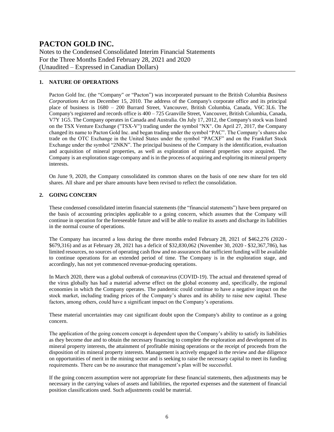Notes to the Condensed Consolidated Interim Financial Statements For the Three Months Ended February 28, 2021 and 2020 (Unaudited – Expressed in Canadian Dollars)

#### **1. NATURE OF OPERATIONS**

Pacton Gold Inc. (the "Company" or "Pacton") was incorporated pursuant to the British Columbia *Business Corporations Act* on December 15, 2010. The address of the Company's corporate office and its principal place of business is 1680 – 200 Burrard Street, Vancouver, British Columbia, Canada, V6C 3L6. The Company's registered and records office is  $400 - 725$  Granville Street, Vancouver, British Columbia, Canada, V7Y 1G5. The Company operates in Canada and Australia. On July 17, 2012, the Company's stock was listed on the TSX Venture Exchange ("TSX-V") trading under the symbol "NX". On April 27, 2017, the Company changed its name to Pacton Gold Inc. and began trading under the symbol "PAC". The Company's shares also trade on the OTC Exchange in the United States under the symbol "PACXF" and on the Frankfurt Stock Exchange under the symbol "2NKN". The principal business of the Company is the identification, evaluation and acquisition of mineral properties, as well as exploration of mineral properties once acquired. The Company is an exploration stage company and is in the process of acquiring and exploring its mineral property interests.

On June 9, 2020, the Company consolidated its common shares on the basis of one new share for ten old shares. All share and per share amounts have been revised to reflect the consolidation.

#### **2. GOING CONCERN**

These condensed consolidated interim financial statements (the "financial statements") have been prepared on the basis of accounting principles applicable to a going concern, which assumes that the Company will continue in operation for the foreseeable future and will be able to realize its assets and discharge its liabilities in the normal course of operations.

The Company has incurred a loss during the three months ended February 28, 2021 of \$462,276 (2020 - \$679,316) and as at February 28, 2021 has a deficit of \$32,830,062 (November 30, 2020 - \$32,367,786), has limited resources, no sources of operating cash flow and no assurances that sufficient funding will be available to continue operations for an extended period of time. The Company is in the exploration stage, and accordingly, has not yet commenced revenue-producing operations.

In March 2020, there was a global outbreak of coronavirus (COVID-19). The actual and threatened spread of the virus globally has had a material adverse effect on the global economy and, specifically, the regional economies in which the Company operates. The pandemic could continue to have a negative impact on the stock market, including trading prices of the Company's shares and its ability to raise new capital. These factors, among others, could have a significant impact on the Company's operations.

These material uncertainties may cast significant doubt upon the Company's ability to continue as a going concern.

The application of the going concern concept is dependent upon the Company's ability to satisfy its liabilities as they become due and to obtain the necessary financing to complete the exploration and development of its mineral property interests, the attainment of profitable mining operations or the receipt of proceeds from the disposition of its mineral property interests. Management is actively engaged in the review and due diligence on opportunities of merit in the mining sector and is seeking to raise the necessary capital to meet its funding requirements. There can be no assurance that management's plan will be successful.

If the going concern assumption were not appropriate for these financial statements, then adjustments may be necessary in the carrying values of assets and liabilities, the reported expenses and the statement of financial position classifications used. Such adjustments could be material.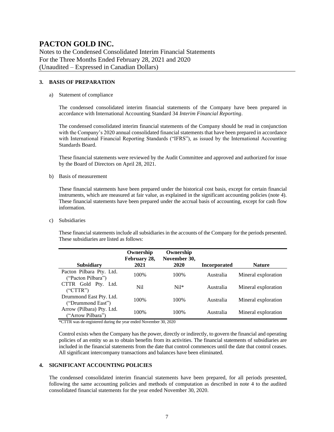Notes to the Condensed Consolidated Interim Financial Statements For the Three Months Ended February 28, 2021 and 2020 (Unaudited – Expressed in Canadian Dollars)

#### **3. BASIS OF PREPARATION**

#### a) Statement of compliance

The condensed consolidated interim financial statements of the Company have been prepared in accordance with International Accounting Standard 34 *Interim Financial Reporting*.

The condensed consolidated interim financial statements of the Company should be read in conjunction with the Company's 2020 annual consolidated financial statements that have been prepared in accordance with International Financial Reporting Standards ("IFRS"), as issued by the International Accounting Standards Board.

These financial statements were reviewed by the Audit Committee and approved and authorized for issue by the Board of Directors on April 28, 2021.

b) Basis of measurement

These financial statements have been prepared under the historical cost basis, except for certain financial instruments, which are measured at fair value, as explained in the significant accounting policies (note 4). These financial statements have been prepared under the accrual basis of accounting, except for cash flow information.

c) Subsidiaries

These financial statements include all subsidiaries in the accounts of the Company for the periods presented. These subsidiaries are listed as follows:

|                                                | Ownership<br>February 28, | Ownership<br>November 30, |                     |                     |
|------------------------------------------------|---------------------------|---------------------------|---------------------|---------------------|
| <b>Subsidiary</b>                              | 2021                      | 2020                      | <b>Incorporated</b> | <b>Nature</b>       |
| Pacton Pilbara Pty. Ltd.<br>("Pacton Pilbara") | 100%                      | 100%                      | Australia           | Mineral exploration |
| CTTR Gold Pty. Ltd.<br>("CTTR")                | Nil                       | $Nil*$                    | Australia           | Mineral exploration |
| Drummond East Pty. Ltd.<br>("Drummond East")   | 100%                      | 100\%                     | Australia           | Mineral exploration |
| Arrow (Pilbara) Pty. Ltd.<br>("Arrow Pilbara") | 100%                      | 100%                      | Australia           | Mineral exploration |

\*CTTR was de-registered during the year ended November 30, 2020

Control exists when the Company has the power, directly or indirectly, to govern the financial and operating policies of an entity so as to obtain benefits from its activities. The financial statements of subsidiaries are included in the financial statements from the date that control commences until the date that control ceases. All significant intercompany transactions and balances have been eliminated.

#### **4. SIGNIFICANT ACCOUNTING POLICIES**

The condensed consolidated interim financial statements have been prepared, for all periods presented, following the same accounting policies and methods of computation as described in note 4 to the audited consolidated financial statements for the year ended November 30, 2020.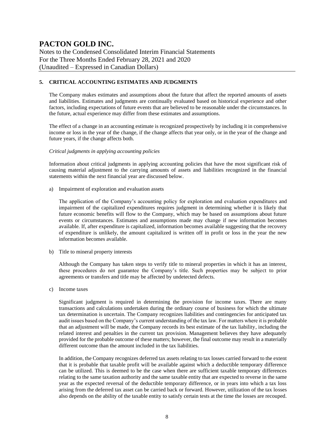Notes to the Condensed Consolidated Interim Financial Statements For the Three Months Ended February 28, 2021 and 2020 (Unaudited – Expressed in Canadian Dollars)

#### **5. CRITICAL ACCOUNTING ESTIMATES AND JUDGMENTS**

The Company makes estimates and assumptions about the future that affect the reported amounts of assets and liabilities. Estimates and judgments are continually evaluated based on historical experience and other factors, including expectations of future events that are believed to be reasonable under the circumstances. In the future, actual experience may differ from these estimates and assumptions.

The effect of a change in an accounting estimate is recognized prospectively by including it in comprehensive income or loss in the year of the change, if the change affects that year only, or in the year of the change and future years, if the change affects both.

#### *Critical judgments in applying accounting policies*

Information about critical judgments in applying accounting policies that have the most significant risk of causing material adjustment to the carrying amounts of assets and liabilities recognized in the financial statements within the next financial year are discussed below.

a) Impairment of exploration and evaluation assets

The application of the Company's accounting policy for exploration and evaluation expenditures and impairment of the capitalized expenditures requires judgment in determining whether it is likely that future economic benefits will flow to the Company, which may be based on assumptions about future events or circumstances. Estimates and assumptions made may change if new information becomes available. If, after expenditure is capitalized, information becomes available suggesting that the recovery of expenditure is unlikely, the amount capitalized is written off in profit or loss in the year the new information becomes available.

b) Title to mineral property interests

Although the Company has taken steps to verify title to mineral properties in which it has an interest, these procedures do not guarantee the Company's title. Such properties may be subject to prior agreements or transfers and title may be affected by undetected defects.

c) Income taxes

Significant judgment is required in determining the provision for income taxes. There are many transactions and calculations undertaken during the ordinary course of business for which the ultimate tax determination is uncertain. The Company recognizes liabilities and contingencies for anticipated tax audit issues based on the Company's current understanding of the tax law. For matters where it is probable that an adjustment will be made, the Company records its best estimate of the tax liability, including the related interest and penalties in the current tax provision. Management believes they have adequately provided for the probable outcome of these matters; however, the final outcome may result in a materially different outcome than the amount included in the tax liabilities.

In addition, the Company recognizes deferred tax assets relating to tax losses carried forward to the extent that it is probable that taxable profit will be available against which a deductible temporary difference can be utilized. This is deemed to be the case when there are sufficient taxable temporary differences relating to the same taxation authority and the same taxable entity that are expected to reverse in the same year as the expected reversal of the deductible temporary difference, or in years into which a tax loss arising from the deferred tax asset can be carried back or forward. However, utilization of the tax losses also depends on the ability of the taxable entity to satisfy certain tests at the time the losses are recouped.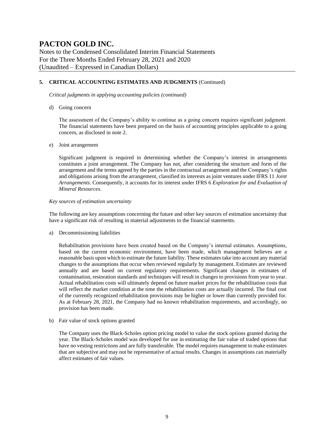Notes to the Condensed Consolidated Interim Financial Statements For the Three Months Ended February 28, 2021 and 2020 (Unaudited – Expressed in Canadian Dollars)

#### **5. CRITICAL ACCOUNTING ESTIMATES AND JUDGMENTS** (Continued)

*Critical judgments in applying accounting policies (continued)*

d) Going concern

The assessment of the Company's ability to continue as a going concern requires significant judgment. The financial statements have been prepared on the basis of accounting principles applicable to a going concern, as disclosed in note 2.

#### e) Joint arrangement

Significant judgment is required in determining whether the Company's interest in arrangements constitutes a joint arrangement. The Company has not, after considering the structure and form of the arrangement and the terms agreed by the parties in the contractual arrangement and the Company's rights and obligations arising from the arrangement, classified its interests as joint ventures under IFRS 11 *Joint Arrangements*. Consequently, it accounts for its interest under IFRS 6 *Exploration for and Evaluation of Mineral Resources*.

#### *Key sources of estimation uncertainty*

The following are key assumptions concerning the future and other key sources of estimation uncertainty that have a significant risk of resulting in material adjustments to the financial statements.

a) Decommissioning liabilities

Rehabilitation provisions have been created based on the Company's internal estimates. Assumptions, based on the current economic environment, have been made, which management believes are a reasonable basis upon which to estimate the future liability. These estimates take into account any material changes to the assumptions that occur when reviewed regularly by management. Estimates are reviewed annually and are based on current regulatory requirements. Significant changes in estimates of contamination, restoration standards and techniques will result in changes to provisions from year to year. Actual rehabilitation costs will ultimately depend on future market prices for the rehabilitation costs that will reflect the market condition at the time the rehabilitation costs are actually incurred. The final cost of the currently recognized rehabilitation provisions may be higher or lower than currently provided for. As at February 28, 2021, the Company had no known rehabilitation requirements, and accordingly, no provision has been made.

b) Fair value of stock options granted

The Company uses the Black-Scholes option pricing model to value the stock options granted during the year. The Black-Scholes model was developed for use in estimating the fair value of traded options that have no vesting restrictions and are fully transferable. The model requires management to make estimates that are subjective and may not be representative of actual results. Changes in assumptions can materially affect estimates of fair values.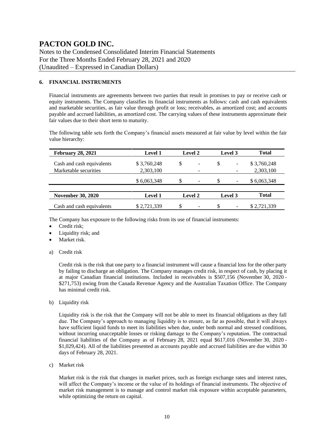Notes to the Condensed Consolidated Interim Financial Statements For the Three Months Ended February 28, 2021 and 2020 (Unaudited – Expressed in Canadian Dollars)

#### **6. FINANCIAL INSTRUMENTS**

Financial instruments are agreements between two parties that result in promises to pay or receive cash or equity instruments. The Company classifies its financial instruments as follows: cash and cash equivalents and marketable securities, as fair value through profit or loss; receivables, as amortized cost; and accounts payable and accrued liabilities, as amortized cost. The carrying values of these instruments approximate their fair values due to their short term to maturity.

The following table sets forth the Company's financial assets measured at fair value by level within the fair value hierarchy:

| <b>February 28, 2021</b>  | <b>Level 1</b> | <b>Level 2</b> |                              |                               |                          | Level 3     |  | <b>Total</b> |
|---------------------------|----------------|----------------|------------------------------|-------------------------------|--------------------------|-------------|--|--------------|
| Cash and cash equivalents | \$3,760,248    | \$             |                              |                               | $\overline{\phantom{a}}$ | \$3,760,248 |  |              |
| Marketable securities     | 2,303,100      | -              |                              |                               |                          | 2,303,100   |  |              |
|                           | \$6,063,348    | S              | $\qquad \qquad \blacksquare$ | S<br>$\overline{\phantom{a}}$ |                          | \$6,063,348 |  |              |
|                           |                |                |                              |                               |                          |             |  |              |
| <b>November 30, 2020</b>  | Level 1        |                | <b>Level 2</b>               |                               | Level 3                  |             |  | <b>Total</b> |
| Cash and cash equivalents | \$2,721,339    | \$             | $\overline{\phantom{0}}$     | -S                            | $\overline{\phantom{a}}$ | \$2,721,339 |  |              |

The Company has exposure to the following risks from its use of financial instruments:

- Credit risk;
- Liquidity risk; and
- Market risk.
- a) Credit risk

Credit risk is the risk that one party to a financial instrument will cause a financial loss for the other party by failing to discharge an obligation. The Company manages credit risk, in respect of cash, by placing it at major Canadian financial institutions. Included in receivables is \$507,156 (November 30, 2020 - \$271,753) owing from the Canada Revenue Agency and the Australian Taxation Office. The Company has minimal credit risk.

b) Liquidity risk

Liquidity risk is the risk that the Company will not be able to meet its financial obligations as they fall due. The Company's approach to managing liquidity is to ensure, as far as possible, that it will always have sufficient liquid funds to meet its liabilities when due, under both normal and stressed conditions, without incurring unacceptable losses or risking damage to the Company's reputation. The contractual financial liabilities of the Company as of February 28, 2021 equal \$617,016 (November 30, 2020 - \$1,029,424). All of the liabilities presented as accounts payable and accrued liabilities are due within 30 days of February 28, 2021.

c) Market risk

Market risk is the risk that changes in market prices, such as foreign exchange rates and interest rates, will affect the Company's income or the value of its holdings of financial instruments. The objective of market risk management is to manage and control market risk exposure within acceptable parameters, while optimizing the return on capital.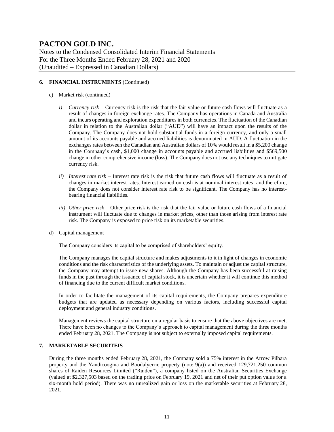Notes to the Condensed Consolidated Interim Financial Statements For the Three Months Ended February 28, 2021 and 2020 (Unaudited – Expressed in Canadian Dollars)

#### **6. FINANCIAL INSTRUMENTS** (Continued)

- c) Market risk (continued)
	- *i) Currency risk –* Currency risk is the risk that the fair value or future cash flows will fluctuate as a result of changes in foreign exchange rates. The Company has operations in Canada and Australia and incurs operating and exploration expenditures in both currencies. The fluctuation of the Canadian dollar in relation to the Australian dollar ("AUD") will have an impact upon the results of the Company. The Company does not hold substantial funds in a foreign currency, and only a small amount of its accounts payable and accrued liabilities is denominated in AUD. A fluctuation in the exchanges rates between the Canadian and Australian dollars of 10% would result in a \$5,200 change in the Company's cash, \$1,000 change in accounts payable and accrued liabilities and \$569,500 change in other comprehensive income (loss). The Company does not use any techniques to mitigate currency risk.
	- *ii) Interest rate risk –* Interest rate risk is the risk that future cash flows will fluctuate as a result of changes in market interest rates. Interest earned on cash is at nominal interest rates, and therefore, the Company does not consider interest rate risk to be significant. The Company has no interestbearing financial liabilities.
	- *iii) Other price risk –* Other price risk is the risk that the fair value or future cash flows of a financial instrument will fluctuate due to changes in market prices, other than those arising from interest rate risk. The Company is exposed to price risk on its marketable securities.
- d) Capital management

The Company considers its capital to be comprised of shareholders' equity.

The Company manages the capital structure and makes adjustments to it in light of changes in economic conditions and the risk characteristics of the underlying assets. To maintain or adjust the capital structure, the Company may attempt to issue new shares. Although the Company has been successful at raising funds in the past through the issuance of capital stock, it is uncertain whether it will continue this method of financing due to the current difficult market conditions.

In order to facilitate the management of its capital requirements, the Company prepares expenditure budgets that are updated as necessary depending on various factors, including successful capital deployment and general industry conditions.

Management reviews the capital structure on a regular basis to ensure that the above objectives are met. There have been no changes to the Company's approach to capital management during the three months ended February 28, 2021. The Company is not subject to externally imposed capital requirements.

#### **7. MARKETABLE SECURITEIS**

During the three months ended February 28, 2021, the Company sold a 75% interest in the Arrow Pilbara property and the Yandicoogina and Boodalyerrie property (note 9(a)) and received 129,721,250 common shares of Raiden Resources Limited ("Raiden"), a company listed on the Australian Securities Exchange (valued at \$2,327,503 based on the trading price on February 19, 2021 and net of their put option value for a six-month hold period). There was no unrealized gain or loss on the marketable securities at February 28, 2021.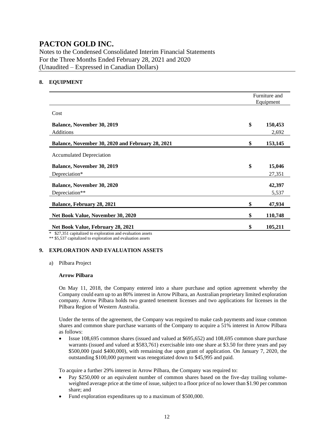Notes to the Condensed Consolidated Interim Financial Statements For the Three Months Ended February 28, 2021 and 2020 (Unaudited – Expressed in Canadian Dollars)

#### **8. EQUIPMENT**

|                                                  | Furniture and<br>Equipment |         |  |
|--------------------------------------------------|----------------------------|---------|--|
| Cost                                             |                            |         |  |
| <b>Balance, November 30, 2019</b>                | \$                         | 150,453 |  |
| Additions                                        |                            | 2,692   |  |
| Balance, November 30, 2020 and February 28, 2021 | \$                         | 153,145 |  |
| <b>Accumulated Depreciation</b>                  |                            |         |  |
| <b>Balance, November 30, 2019</b>                | \$                         | 15,046  |  |
| Depreciation*                                    |                            | 27,351  |  |
| <b>Balance, November 30, 2020</b>                |                            | 42,397  |  |
| Depreciation**                                   |                            | 5,537   |  |
| Balance, February 28, 2021                       | \$                         | 47,934  |  |
| Net Book Value, November 30, 2020                | \$                         | 110,748 |  |
| Net Book Value, February 28, 2021                | \$                         | 105,211 |  |

\* \$27,351 capitalized to exploration and evaluation assets \*\* \$5,537 capitalized to exploration and evaluation assets

#### **9. EXPLORATION AND EVALUATION ASSETS**

a) Pilbara Project

#### **Arrow Pilbara**

On May 11, 2018, the Company entered into a share purchase and option agreement whereby the Company could earn up to an 80% interest in Arrow Pilbara, an Australian proprietary limited exploration company. Arrow Pilbara holds two granted tenement licenses and two applications for licenses in the Pilbara Region of Western Australia.

Under the terms of the agreement, the Company was required to make cash payments and issue common shares and common share purchase warrants of the Company to acquire a 51% interest in Arrow Pilbara as follows:

• Issue 108,695 common shares (issued and valued at \$695,652) and 108,695 common share purchase warrants (issued and valued at \$583,761) exercisable into one share at \$3.50 for three years and pay \$500,000 (paid \$400,000), with remaining due upon grant of application. On January 7, 2020, the outstanding \$100,000 payment was renegotiated down to \$45,995 and paid.

To acquire a further 29% interest in Arrow Pilbara, the Company was required to:

- Pay \$250,000 or an equivalent number of common shares based on the five-day trailing volumeweighted average price at the time of issue, subject to a floor price of no lower than \$1.90 per common share; and
- Fund exploration expenditures up to a maximum of \$500,000.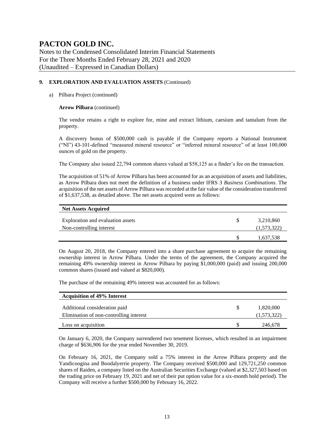Notes to the Condensed Consolidated Interim Financial Statements For the Three Months Ended February 28, 2021 and 2020 (Unaudited – Expressed in Canadian Dollars)

#### **9. EXPLORATION AND EVALUATION ASSETS** (Continued)

#### a) Pilbara Project (continued)

#### **Arrow Pilbara** (continued)

The vendor retains a right to explore for, mine and extract lithium, caesium and tantalum from the property.

A discovery bonus of \$500,000 cash is payable if the Company reports a National Instrument ("NI") 43-101-defined "measured mineral resource" or "inferred mineral resource" of at least 100,000 ounces of gold on the property.

The Company also issued 22,794 common shares valued at \$58,125 as a finder's fee on the transaction.

The acquisition of 51% of Arrow Pilbara has been accounted for as an acquisition of assets and liabilities, as Arrow Pilbara does not meet the definition of a business under IFRS 3 *Business Combinations*. The acquisition of the net assets of Arrow Pilbara was recorded at the fair value of the consideration transferred of \$1,637,538, as detailed above. The net assets acquired were as follows:

| <b>Net Assets Acquired</b>                                    |                          |
|---------------------------------------------------------------|--------------------------|
| Exploration and evaluation assets<br>Non-controlling interest | 3,210,860<br>(1,573,322) |
|                                                               | 1,637,538                |

On August 20, 2018, the Company entered into a share purchase agreement to acquire the remaining ownership interest in Arrow Pilbara. Under the terms of the agreement, the Company acquired the remaining 49% ownership interest in Arrow Pilbara by paying \$1,000,000 (paid) and issuing 200,000 common shares (issued and valued at \$820,000).

The purchase of the remaining 49% interest was accounted for as follows:

| <b>Acquisition of 49% Interest</b>      |             |
|-----------------------------------------|-------------|
| Additional consideration paid           | 1,820,000   |
| Elimination of non-controlling interest | (1,573,322) |
| Loss on acquisition                     | 246,678     |

On January 6, 2020, the Company surrendered two tenement licenses, which resulted in an impairment charge of \$636,906 for the year ended November 30, 2019.

On February 16, 2021, the Company sold a 75% interest in the Arrow Pilbara property and the Yandicoogina and Boodalyerrie property. The Company received \$500,000 and 129,721,250 common shares of Raiden, a company listed on the Australian Securities Exchange (valued at \$2,327,503 based on the trading price on February 19, 2021 and net of their put option value for a six-month hold period). The Company will receive a further \$500,000 by February 16, 2022.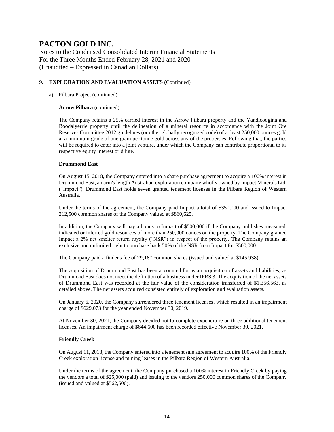Notes to the Condensed Consolidated Interim Financial Statements For the Three Months Ended February 28, 2021 and 2020 (Unaudited – Expressed in Canadian Dollars)

#### **9. EXPLORATION AND EVALUATION ASSETS** (Continued)

#### a) Pilbara Project (continued)

#### **Arrow Pilbara** (continued)

The Company retains a 25% carried interest in the Arrow Pilbara property and the Yandicoogina and Boodalyerrie property until the delineation of a mineral resource in accordance with the Joint Ore Reserves Committee 2012 guidelines (or other globally recognized code) of at least 250,000 ounces gold at a minimum grade of one gram per tonne gold across any of the properties. Following that, the parties will be required to enter into a joint venture, under which the Company can contribute proportional to its respective equity interest or dilute.

#### **Drummond East**

On August 15, 2018, the Company entered into a share purchase agreement to acquire a 100% interest in Drummond East, an arm's length Australian exploration company wholly owned by Impact Minerals Ltd. ("Impact"). Drummond East holds seven granted tenement licenses in the Pilbara Region of Western Australia.

Under the terms of the agreement, the Company paid Impact a total of \$350,000 and issued to Impact 212,500 common shares of the Company valued at \$860,625.

In addition, the Company will pay a bonus to Impact of \$500,000 if the Company publishes measured, indicated or inferred gold resources of more than 250,000 ounces on the property. The Company granted Impact a 2% net smelter return royalty ("NSR") in respect of the property. The Company retains an exclusive and unlimited right to purchase back 50% of the NSR from Impact for \$500,000.

The Company paid a finder's fee of 29,187 common shares (issued and valued at \$145,938).

The acquisition of Drummond East has been accounted for as an acquisition of assets and liabilities, as Drummond East does not meet the definition of a business under IFRS 3. The acquisition of the net assets of Drummond East was recorded at the fair value of the consideration transferred of \$1,356,563, as detailed above. The net assets acquired consisted entirely of exploration and evaluation assets.

On January 6, 2020, the Company surrendered three tenement licenses, which resulted in an impairment charge of \$629,073 for the year ended November 30, 2019.

At November 30, 2021, the Company decided not to complete expenditure on three additional tenement licenses. An impairment charge of \$644,600 has been recorded effective November 30, 2021.

#### **Friendly Creek**

On August 11, 2018, the Company entered into a tenement sale agreement to acquire 100% of the Friendly Creek exploration license and mining leases in the Pilbara Region of Western Australia.

Under the terms of the agreement, the Company purchased a 100% interest in Friendly Creek by paying the vendors a total of \$25,000 (paid) and issuing to the vendors 250,000 common shares of the Company (issued and valued at \$562,500).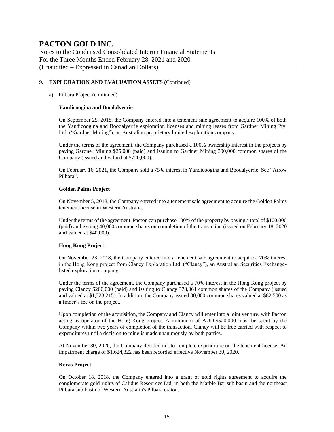Notes to the Condensed Consolidated Interim Financial Statements For the Three Months Ended February 28, 2021 and 2020 (Unaudited – Expressed in Canadian Dollars)

#### **9. EXPLORATION AND EVALUATION ASSETS** (Continued)

#### a) Pilbara Project (continued)

#### **Yandicoogina and Boodalyerrie**

On September 25, 2018, the Company entered into a tenement sale agreement to acquire 100% of both the Yandicoogina and Boodalyerrie exploration licenses and mining leases from Gardner Mining Pty. Ltd. ("Gardner Mining"), an Australian proprietary limited exploration company.

Under the terms of the agreement, the Company purchased a 100% ownership interest in the projects by paying Gardner Mining \$25,000 (paid) and issuing to Gardner Mining 300,000 common shares of the Company (issued and valued at \$720,000).

On February 16, 2021, the Company sold a 75% interest in Yandicoogina and Boodalyerrie. See "Arrow Pilbara".

#### **Golden Palms Project**

On November 5, 2018, the Company entered into a tenement sale agreement to acquire the Golden Palms tenement license in Western Australia.

Under the terms of the agreement, Pacton can purchase 100% of the property by paying a total of \$100,000 (paid) and issuing 40,000 common shares on completion of the transaction (issued on February 18, 2020 and valued at \$40,000).

#### **Hong Kong Project**

On November 23, 2018, the Company entered into a tenement sale agreement to acquire a 70% interest in the Hong Kong project from Clancy Exploration Ltd. ("Clancy"), an Australian Securities Exchangelisted exploration company.

Under the terms of the agreement, the Company purchased a 70% interest in the Hong Kong project by paying Clancy \$200,000 (paid) and issuing to Clancy 378,061 common shares of the Company (issued and valued at \$1,323,215). In addition, the Company issued 30,000 common shares valued at \$82,500 as a finder's fee on the project.

Upon completion of the acquisition, the Company and Clancy will enter into a joint venture, with Pacton acting as operator of the Hong Kong project. A minimum of AUD \$520,000 must be spent by the Company within two years of completion of the transaction. Clancy will be free carried with respect to expenditures until a decision to mine is made unanimously by both parties.

At November 30, 2020, the Company decided not to complete expenditure on the tenement license. An impairment charge of \$1,624,322 has been recorded effective November 30, 2020.

#### **Keras Project**

On October 18, 2018, the Company entered into a grant of gold rights agreement to acquire the conglomerate gold rights of Calidus Resources Ltd. in both the Marble Bar sub basin and the northeast Pilbara sub basin of Western Australia's Pilbara craton.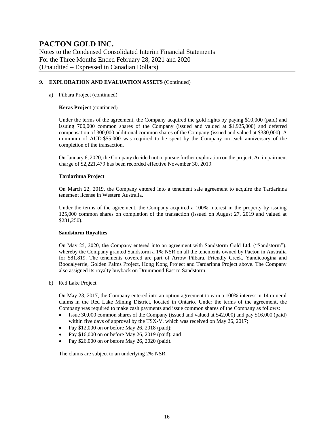Notes to the Condensed Consolidated Interim Financial Statements For the Three Months Ended February 28, 2021 and 2020 (Unaudited – Expressed in Canadian Dollars)

#### **9. EXPLORATION AND EVALUATION ASSETS** (Continued)

#### a) Pilbara Project (continued)

#### **Keras Project** (continued)

Under the terms of the agreement, the Company acquired the gold rights by paying \$10,000 (paid) and issuing 700,000 common shares of the Company (issued and valued at \$1,925,000) and deferred compensation of 300,000 additional common shares of the Company (issued and valued at \$330,000). A minimum of AUD \$55,000 was required to be spent by the Company on each anniversary of the completion of the transaction.

On January 6, 2020, the Company decided not to pursue further exploration on the project. An impairment charge of \$2,221,479 has been recorded effective November 30, 2019.

#### **Tardarinna Project**

On March 22, 2019, the Company entered into a tenement sale agreement to acquire the Tardarinna tenement license in Western Australia.

Under the terms of the agreement, the Company acquired a 100% interest in the property by issuing 125,000 common shares on completion of the transaction (issued on August 27, 2019 and valued at \$281,250).

#### **Sandstorm Royalties**

On May 25, 2020, the Company entered into an agreement with Sandstorm Gold Ltd. ("Sandstorm"), whereby the Company granted Sandstorm a 1% NSR on all the tenements owned by Pacton in Australia for \$81,819. The tenements covered are part of Arrow Pilbara, Friendly Creek, Yandicoogina and Boodalyerrie, Golden Palms Project, Hong Kong Project and Tardarinna Project above. The Company also assigned its royalty buyback on Drummond East to Sandstorm.

b) Red Lake Project

On May 23, 2017, the Company entered into an option agreement to earn a 100% interest in 14 mineral claims in the Red Lake Mining District, located in Ontario. Under the terms of the agreement, the Company was required to make cash payments and issue common shares of the Company as follows:

- Issue 30,000 common shares of the Company (issued and valued at \$42,000) and pay \$16,000 (paid) within five days of approval by the TSX-V, which was received on May 26, 2017;
- Pay \$12,000 on or before May 26, 2018 (paid);
- Pay \$16,000 on or before May 26, 2019 (paid); and
- Pay \$26,000 on or before May 26, 2020 (paid).

The claims are subject to an underlying 2% NSR.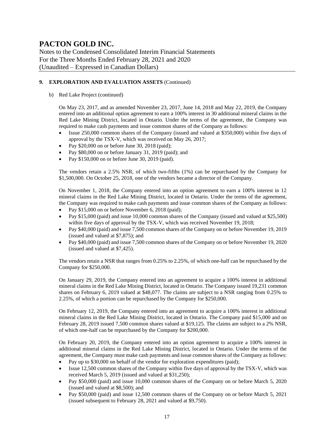Notes to the Condensed Consolidated Interim Financial Statements For the Three Months Ended February 28, 2021 and 2020 (Unaudited – Expressed in Canadian Dollars)

#### **9. EXPLORATION AND EVALUATION ASSETS** (Continued)

b) Red Lake Project (continued)

On May 23, 2017, and as amended November 23, 2017, June 14, 2018 and May 22, 2019, the Company entered into an additional option agreement to earn a 100% interest in 30 additional mineral claims in the Red Lake Mining District, located in Ontario. Under the terms of the agreement, the Company was required to make cash payments and issue common shares of the Company as follows:

- Issue 250,000 common shares of the Company (issued and valued at \$350,000) within five days of approval by the TSX-V, which was received on May 26, 2017;
- Pay \$20,000 on or before June 30, 2018 (paid);
- Pay \$80,000 on or before January 31, 2019 (paid); and
- Pay \$150,000 on or before June 30, 2019 (paid).

The vendors retain a 2.5% NSR, of which two-fifths (1%) can be repurchased by the Company for \$1,500,000. On October 25, 2018, one of the vendors became a director of the Company.

On November 1, 2018, the Company entered into an option agreement to earn a 100% interest in 12 mineral claims in the Red Lake Mining District, located in Ontario. Under the terms of the agreement, the Company was required to make cash payments and issue common shares of the Company as follows:

- Pay \$15,000 on or before November 6, 2018 (paid);
- Pay \$15,000 (paid) and issue 10,000 common shares of the Company (issued and valued at \$25,500) within five days of approval by the TSX-V, which was received November 19, 2018;
- Pay \$40,000 (paid) and issue 7,500 common shares of the Company on or before November 19, 2019 (issued and valued at \$7,875); and
- Pay \$40,000 (paid) and issue 7,500 common shares of the Company on or before November 19, 2020 (issued and valued at \$7,425).

The vendors retain a NSR that ranges from 0.25% to 2.25%, of which one-half can be repurchased by the Company for \$250,000.

On January 29, 2019, the Company entered into an agreement to acquire a 100% interest in additional mineral claims in the Red Lake Mining District, located in Ontario. The Company issued 19,231 common shares on February 6, 2019 valued at \$48,077. The claims are subject to a NSR ranging from 0.25% to 2.25%, of which a portion can be repurchased by the Company for \$250,000.

On February 12, 2019, the Company entered into an agreement to acquire a 100% interest in additional mineral claims in the Red Lake Mining District, located in Ontario. The Company paid \$15,000 and on February 28, 2019 issued 7,500 common shares valued at \$19,125. The claims are subject to a 2% NSR, of which one-half can be repurchased by the Company for \$200,000.

On February 20, 2019, the Company entered into an option agreement to acquire a 100% interest in additional mineral claims in the Red Lake Mining District, located in Ontario. Under the terms of the agreement, the Company must make cash payments and issue common shares of the Company as follows:

- Pay up to \$30,000 on behalf of the vendor for exploration expenditures (paid);
- Issue 12,500 common shares of the Company within five days of approval by the TSX-V, which was received March 5, 2019 (issued and valued at \$31,250);
- Pay \$50,000 (paid) and issue 10,000 common shares of the Company on or before March 5, 2020 (issued and valued at \$8,500); and
- Pay \$50,000 (paid) and issue 12,500 common shares of the Company on or before March 5, 2021 (issued subsequent to February 28, 2021 and valued at \$9,750).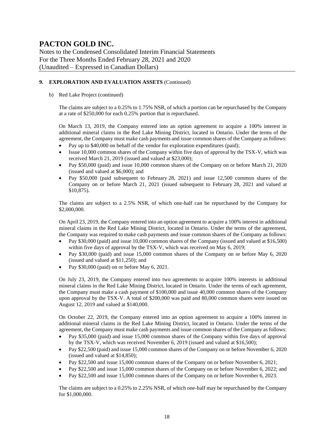Notes to the Condensed Consolidated Interim Financial Statements For the Three Months Ended February 28, 2021 and 2020 (Unaudited – Expressed in Canadian Dollars)

#### **9. EXPLORATION AND EVALUATION ASSETS** (Continued)

#### b) Red Lake Project (continued)

The claims are subject to a 0.25% to 1.75% NSR, of which a portion can be repurchased by the Company at a rate of \$250,000 for each 0.25% portion that is repurchased.

On March 13, 2019, the Company entered into an option agreement to acquire a 100% interest in additional mineral claims in the Red Lake Mining District, located in Ontario. Under the terms of the agreement, the Company must make cash payments and issue common shares of the Company as follows:

- Pay up to \$40,000 on behalf of the vendor for exploration expenditures (paid);
- Issue 10,000 common shares of the Company within five days of approval by the TSX-V, which was received March 21, 2019 (issued and valued at \$23,000);
- Pay \$50,000 (paid) and issue 10,000 common shares of the Company on or before March 21, 2020 (issued and valued at \$6,000); and
- Pay \$50,000 (paid subsequent to February 28, 2021) and issue 12,500 common shares of the Company on or before March 21, 2021 (issued subsequent to February 28, 2021 and valued at \$10,875).

The claims are subject to a 2.5% NSR, of which one-half can be repurchased by the Company for \$2,000,000.

On April 23, 2019, the Company entered into an option agreement to acquire a 100% interest in additional mineral claims in the Red Lake Mining District, located in Ontario. Under the terms of the agreement, the Company was required to make cash payments and issue common shares of the Company as follows:

- Pay \$30,000 (paid) and issue 10,000 common shares of the Company (issued and valued at \$16,500) within five days of approval by the TSX-V, which was received on May 6, 2019;
- Pay \$30,000 (paid) and issue 15,000 common shares of the Company on or before May 6, 2020 (issued and valued at \$11,250); and
- Pay \$30,000 (paid) on or before May 6, 2021.

On July 23, 2019, the Company entered into two agreements to acquire 100% interests in additional mineral claims in the Red Lake Mining District, located in Ontario. Under the terms of each agreement, the Company must make a cash payment of \$100,000 and issue 40,000 common shares of the Company upon approval by the TSX-V. A total of \$200,000 was paid and 80,000 common shares were issued on August 12, 2019 and valued at \$140,000.

On October 22, 2019, the Company entered into an option agreement to acquire a 100% interest in additional mineral claims in the Red Lake Mining District, located in Ontario. Under the terms of the agreement, the Company must make cash payments and issue common shares of the Company as follows:

- Pay \$35,000 (paid) and issue 15,000 common shares of the Company within five days of approval by the TSX-V, which was received November 6, 2019 (issued and valued at \$16,500);
- Pay \$22,500 (paid) and issue 15,000 common shares of the Company on or before November 6, 2020 (issued and valued at \$14,850);
- Pay \$22,500 and issue 15,000 common shares of the Company on or before November 6, 2021;
- Pay \$22,500 and issue 15,000 common shares of the Company on or before November 6, 2022; and
- Pay \$22,500 and issue 15,000 common shares of the Company on or before November 6, 2023.

The claims are subject to a 0.25% to 2.25% NSR, of which one-half may be repurchased by the Company for \$1,000,000.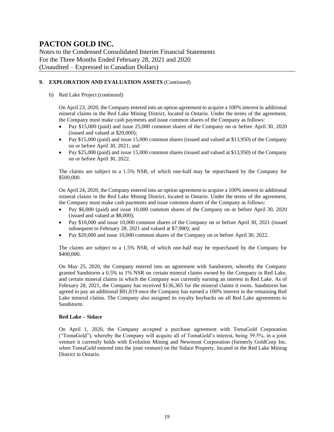Notes to the Condensed Consolidated Interim Financial Statements For the Three Months Ended February 28, 2021 and 2020 (Unaudited – Expressed in Canadian Dollars)

#### **9. EXPLORATION AND EVALUATION ASSETS** (Continued)

#### b) Red Lake Project (continued)

On April 23, 2020, the Company entered into an option agreement to acquire a 100% interest in additional mineral claims in the Red Lake Mining District, located in Ontario. Under the terms of the agreement, the Company must make cash payments and issue common shares of the Company as follows:

- Pay \$15,000 (paid) and issue 25,000 common shares of the Company on or before April 30, 2020 (issued and valued at \$20,000);
- Pay \$15,000 (paid) and issue 15,000 common shares (issued and valued at \$13,950) of the Company on or before April 30, 2021; and
- Pay \$25,000 (paid) and issue 15,000 common shares (issued and valued at \$13,950) of the Company on or before April 30, 2022.

The claims are subject to a 1.5% NSR, of which one-half may be repurchased by the Company for \$500,000.

On April 24, 2020, the Company entered into an option agreement to acquire a 100% interest in additional mineral claims in the Red Lake Mining District, located in Ontario. Under the terms of the agreement, the Company must make cash payments and issue common shares of the Company as follows:

- Pay \$6,000 (paid) and issue 10,000 common shares of the Company on or before April 30, 2020 (issued and valued at \$8,000);
- Pay \$10,000 and issue 10,000 common shares of the Company on or before April 30, 2021 (issued subsequent to February 28, 2021 and valued at \$7,900); and
- Pay \$20,000 and issue 10,000 common shares of the Company on or before April 30, 2022.

The claims are subject to a 1.5% NSR, of which one-half may be repurchased by the Company for \$400,000.

On May 25, 2020, the Company entered into an agreement with Sandstorm, whereby the Company granted Sandstorm a 0.5% to 1% NSR on certain mineral claims owned by the Company in Red Lake, and certain mineral claims in which the Company was currently earning an interest in Red Lake. As of February 28, 2021, the Company has received \$136,365 for the mineral claims it owns. Sandstorm has agreed to pay an additional \$81,819 once the Company has earned a 100% interest in the remaining Red Lake mineral claims. The Company also assigned its royalty buybacks on all Red Lake agreements to Sandstorm.

#### **Red Lake – Sidace**

On April 1, 2020, the Company accepted a purchase agreement with TomaGold Corporation ("TomaGold"), whereby the Company will acquire all of TomaGold's interest, being 39.5%, in a joint venture it currently holds with Evolution Mining and Newmont Corporation (formerly GoldCorp Inc. when TomaGold entered into the joint venture) on the Sidace Property, located in the Red Lake Mining District in Ontario.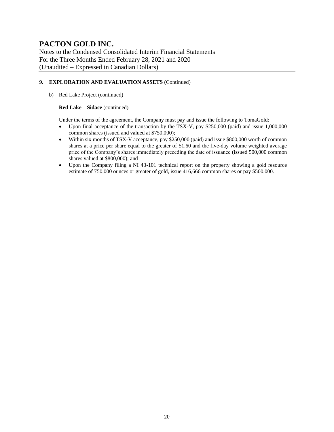Notes to the Condensed Consolidated Interim Financial Statements For the Three Months Ended February 28, 2021 and 2020 (Unaudited – Expressed in Canadian Dollars)

#### **9. EXPLORATION AND EVALUATION ASSETS** (Continued)

b) Red Lake Project (continued)

#### **Red Lake – Sidace** (continued)

Under the terms of the agreement, the Company must pay and issue the following to TomaGold:

- Upon final acceptance of the transaction by the TSX-V, pay \$250,000 (paid) and issue 1,000,000 common shares (issued and valued at \$750,000);
- Within six months of TSX-V acceptance, pay \$250,000 (paid) and issue \$800,000 worth of common shares at a price per share equal to the greater of \$1.60 and the five-day volume weighted average price of the Company's shares immediately preceding the date of issuance (issued 500,000 common shares valued at \$800,000); and
- Upon the Company filing a NI 43-101 technical report on the property showing a gold resource estimate of 750,000 ounces or greater of gold, issue 416,666 common shares or pay \$500,000.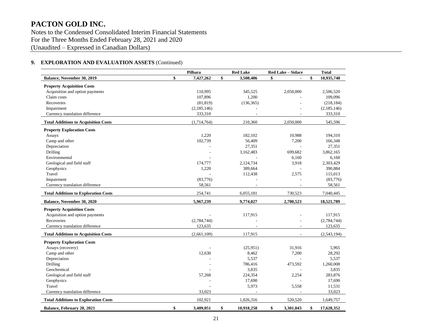Notes to the Condensed Consolidated Interim Financial Statements For the Three Months Ended February 28, 2021 and 2020 (Unaudited – Expressed in Canadian Dollars)

### **9. EXPLORATION AND EVALUATION ASSETS** (Continued)

|                                             | Pilbara         | <b>Red Lake</b>  | <b>Red Lake - Sidace</b> | <b>Total</b>     |
|---------------------------------------------|-----------------|------------------|--------------------------|------------------|
| <b>Balance, November 30, 2019</b>           | \$<br>7,427,262 | \$<br>3,508,486  | \$                       | \$<br>10,935,748 |
| <b>Property Acquisition Costs</b>           |                 |                  |                          |                  |
| Acquisition and option payments             | 110,995         | 345,525          | 2,050,000                | 2,506,520        |
| Claim costs                                 | 107,896         | 1,200            |                          | 109,096          |
| Recoveries                                  | (81, 819)       | (136, 365)       |                          | (218, 184)       |
| Impairment                                  | (2, 185, 146)   |                  |                          | (2,185,146)      |
| Currency translation difference             | 333,310         |                  |                          | 333,310          |
| <b>Total Additions to Acquisition Costs</b> | (1,714,764)     | 210.360          | 2.050.000                | 545,596          |
| <b>Property Exploration Costs</b>           |                 |                  |                          |                  |
| Assays                                      | 1,220           | 182,102          | 10,988                   | 194,310          |
| Camp and other                              | 102,739         | 56,409           | 7,200                    | 166,348          |
| Depreciation                                |                 | 27,351           |                          | 27,351           |
| Drilling                                    |                 | 3,162,483        | 699,682                  | 3,862,165        |
| Environmental                               |                 |                  | 6,160                    | 6,160            |
| Geological and field staff                  | 174,777         | 2,124,734        | 3,918                    | 2,303,429        |
| Geophysics                                  | 1,220           | 389,664          |                          | 390,884          |
| Travel                                      |                 | 112,438          | 2,575                    | 115,013          |
| Impairment                                  | (83,776)        |                  |                          | (83,776)         |
| Currency translation difference             | 58,561          |                  |                          | 58,561           |
| <b>Total Additions to Exploration Costs</b> | 254,741         | 6,055,181        | 730,523                  | 7,040,445        |
| <b>Balance, November 30, 2020</b>           | 5,967,239       | 9,774,027        | 2,780,523                | 18,521,789       |
| <b>Property Acquisition Costs</b>           |                 |                  |                          |                  |
| Acquisition and option payments             |                 | 117,915          |                          | 117.915          |
| Recoveries                                  | (2,784,744)     |                  |                          | (2,784,744)      |
| Currency translation difference             | 123,635         |                  |                          | 123,635          |
| <b>Total Additions to Acquisition Costs</b> | (2,661,109)     | 117,915          |                          | (2,543,194)      |
| <b>Property Exploration Costs</b>           |                 |                  |                          |                  |
| Assays (recovery)                           |                 | (25,951)         | 31,916                   | 5,965            |
| Camp and other                              | 12,630          | 8,462            | 7,200                    | 28,292           |
| Depreciation                                |                 | 5,537            |                          | 5,537            |
| Drilling                                    |                 | 786,416          | 473,592                  | 1,260,008        |
| Geochemical                                 |                 | 3,835            |                          | 3,835            |
| Geological and field staff                  | 57,268          | 224,354          | 2,254                    | 283,876          |
| Geophysics                                  |                 | 17,690           |                          | 17,690           |
| Travel                                      |                 | 5,973            | 5,558                    | 11,531           |
| Currency translation difference             | 33,023          |                  |                          | 33,023           |
| <b>Total Additions to Exploration Costs</b> | 102,921         | 1,026,316        | 520,520                  | 1,649,757        |
| Balance, February 28, 2021                  | \$<br>3,409,051 | \$<br>10,918,258 | \$<br>3,301,043          | \$<br>17,628,352 |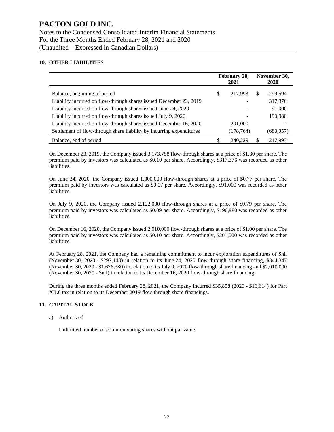#### **10. OTHER LIABILITIES**

|                                                                      |    | February 28,<br>2021 |              | November 30,<br><b>2020</b> |
|----------------------------------------------------------------------|----|----------------------|--------------|-----------------------------|
| Balance, beginning of period                                         | S  | 217.993              | <sup>S</sup> | 299,594                     |
| Liability incurred on flow-through shares issued December 23, 2019   |    |                      |              | 317,376                     |
| Liability incurred on flow-through shares issued June 24, 2020       |    |                      |              | 91,000                      |
| Liability incurred on flow-through shares issued July 9, 2020        |    |                      |              | 190,980                     |
| Liability incurred on flow-through shares issued December 16, 2020   |    | 201,000              |              |                             |
| Settlement of flow-through share liability by incurring expenditures |    | (178, 764)           |              | (680,957)                   |
| Balance, end of period                                               | \$ | 240.229              | \$           | 217.993                     |

On December 23, 2019, the Company issued 3,173,758 flow-through shares at a price of \$1.30 per share. The premium paid by investors was calculated as \$0.10 per share. Accordingly, \$317,376 was recorded as other liabilities.

On June 24, 2020, the Company issued 1,300,000 flow-through shares at a price of \$0.77 per share. The premium paid by investors was calculated as \$0.07 per share. Accordingly, \$91,000 was recorded as other liabilities.

On July 9, 2020, the Company issued 2,122,000 flow-through shares at a price of \$0.79 per share. The premium paid by investors was calculated as \$0.09 per share. Accordingly, \$190,980 was recorded as other liabilities.

On December 16, 2020, the Company issued 2,010,000 flow-through shares at a price of \$1.00 per share. The premium paid by investors was calculated as \$0.10 per share. Accordingly, \$201,000 was recorded as other liabilities.

At February 28, 2021, the Company had a remaining commitment to incur exploration expenditures of \$nil (November 30, 2020 - \$297,143) in relation to its June 24, 2020 flow-through share financing, \$344,347 (November 30, 2020 - \$1,676,380) in relation to its July 9, 2020 flow-through share financing and \$2,010,000 (November 30, 2020 - \$nil) in relation to its December 16, 2020 flow-through share financing.

During the three months ended February 28, 2021, the Company incurred \$35,858 (2020 - \$16,614) for Part XII.6 tax in relation to its December 2019 flow-through share financings.

#### **11. CAPITAL STOCK**

a) Authorized

Unlimited number of common voting shares without par value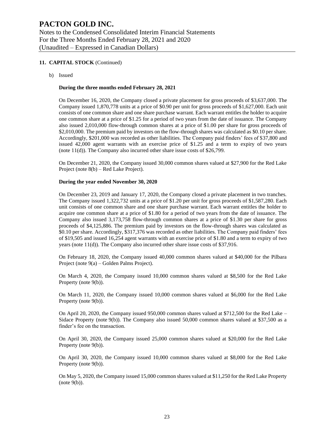#### **11. CAPITAL STOCK** (Continued)

b) Issued

#### **During the three months ended February 28, 2021**

On December 16, 2020, the Company closed a private placement for gross proceeds of \$3,637,000. The Company issued 1,870,778 units at a price of \$0.90 per unit for gross proceeds of \$1,627,000. Each unit consists of one common share and one share purchase warrant. Each warrant entitles the holder to acquire one common share at a price of \$1.25 for a period of two years from the date of issuance. The Company also issued 2,010,000 flow-through common shares at a price of \$1.00 per share for gross proceeds of \$2,010,000. The premium paid by investors on the flow-through shares was calculated as \$0.10 per share. Accordingly, \$201,000 was recorded as other liabilities. The Company paid finders' fees of \$37,800 and issued 42,000 agent warrants with an exercise price of \$1.25 and a term to expiry of two years (note 11(d)). The Company also incurred other share issue costs of \$26,799.

On December 21, 2020, the Company issued 30,000 common shares valued at \$27,900 for the Red Lake Project (note 8(b) – Red Lake Project).

#### **During the year ended November 30, 2020**

On December 23, 2019 and January 17, 2020, the Company closed a private placement in two tranches. The Company issued 1,322,732 units at a price of \$1.20 per unit for gross proceeds of \$1,587,280. Each unit consists of one common share and one share purchase warrant. Each warrant entitles the holder to acquire one common share at a price of \$1.80 for a period of two years from the date of issuance. The Company also issued 3,173,758 flow-through common shares at a price of \$1.30 per share for gross proceeds of \$4,125,886. The premium paid by investors on the flow-through shares was calculated as \$0.10 per share. Accordingly, \$317,376 was recorded as other liabilities. The Company paid finders' fees of \$19,505 and issued 16,254 agent warrants with an exercise price of \$1.80 and a term to expiry of two years (note 11(d)). The Company also incurred other share issue costs of \$37,916.

On February 18, 2020, the Company issued 40,000 common shares valued at \$40,000 for the Pilbara Project (note 9(a) – Golden Palms Project).

On March 4, 2020, the Company issued 10,000 common shares valued at \$8,500 for the Red Lake Property (note 9(b)).

On March 11, 2020, the Company issued 10,000 common shares valued at \$6,000 for the Red Lake Property (note 9(b)).

On April 20, 2020, the Company issued 950,000 common shares valued at \$712,500 for the Red Lake – Sidace Property (note 9(b)). The Company also issued 50,000 common shares valued at \$37,500 as a finder's fee on the transaction.

On April 30, 2020, the Company issued 25,000 common shares valued at \$20,000 for the Red Lake Property (note 9(b)).

On April 30, 2020, the Company issued 10,000 common shares valued at \$8,000 for the Red Lake Property (note 9(b)).

On May 5, 2020, the Company issued 15,000 common shares valued at \$11,250 for the Red Lake Property (note 9(b)).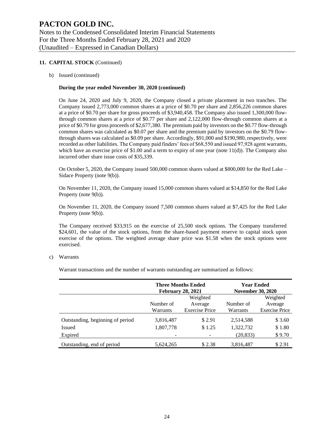#### **11. CAPITAL STOCK** (Continued)

b) Issued (continued)

#### **During the year ended November 30, 2020 (continued)**

On June 24, 2020 and July 9, 2020, the Company closed a private placement in two tranches. The Company issued 2,773,000 common shares at a price of \$0.70 per share and 2,856,226 common shares at a price of \$0.70 per share for gross proceeds of \$3,940,458. The Company also issued 1,300,000 flowthrough common shares at a price of \$0.77 per share and 2,122,000 flow-through common shares at a price of \$0.79 for gross proceeds of \$2,677,380. The premium paid by investors on the \$0.77 flow-through common shares was calculated as \$0.07 per share and the premium paid by investors on the \$0.79 flowthrough shares was calculated as \$0.09 per share. Accordingly, \$91,000 and \$190,980, respectively, were recorded as other liabilities. The Company paid finders' fees of \$68,550 and issued 97,928 agent warrants, which have an exercise price of  $$1.00$  and a term to expiry of one year (note  $11(d)$ ). The Company also incurred other share issue costs of \$35,339.

On October 5, 2020, the Company issued 500,000 common shares valued at \$800,000 for the Red Lake – Sidace Property (note 9(b)).

On November 11, 2020, the Company issued 15,000 common shares valued at \$14,850 for the Red Lake Property (note 9(b)).

On November 11, 2020, the Company issued 7,500 common shares valued at \$7,425 for the Red Lake Property (note 9(b)).

The Company received \$33,915 on the exercise of 25,500 stock options. The Company transferred \$24,601, the value of the stock options, from the share-based payment reserve to capital stock upon exercise of the options. The weighted average share price was \$1.58 when the stock options were exercised.

#### c) Warrants

Warrant transactions and the number of warrants outstanding are summarized as follows:

|                                  | <b>February 28, 2021</b> | <b>Three Months Ended</b> | <b>Year Ended</b><br><b>November 30, 2020</b> |                       |
|----------------------------------|--------------------------|---------------------------|-----------------------------------------------|-----------------------|
|                                  |                          | Weighted                  |                                               | Weighted              |
|                                  | Number of<br>Average     |                           | Number of                                     | Average               |
|                                  | Warrants                 | <b>Exercise Price</b>     | Warrants                                      | <b>Exercise Price</b> |
| Outstanding, beginning of period | 3,816,487                | \$2.91                    | 2,514,588                                     | \$3.60                |
| <b>Issued</b>                    | 1,807,778                | \$1.25                    | 1,322,732                                     | \$1.80                |
| Expired                          |                          |                           | (20, 833)                                     | \$9.70                |
| Outstanding, end of period       | 5,624,265                | \$2.38                    | 3,816,487                                     | \$2.91                |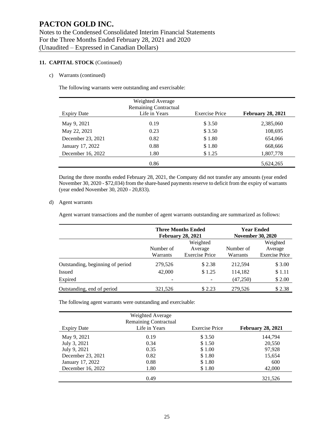#### **11. CAPITAL STOCK** (Continued)

#### c) Warrants (continued)

The following warrants were outstanding and exercisable:

|                    | Weighted Average<br><b>Remaining Contractual</b> |                       |                          |
|--------------------|--------------------------------------------------|-----------------------|--------------------------|
| <b>Expiry Date</b> | Life in Years                                    | <b>Exercise Price</b> | <b>February 28, 2021</b> |
| May 9, 2021        | 0.19                                             | \$3.50                | 2,385,060                |
| May 22, 2021       | 0.23                                             | \$3.50                | 108,695                  |
| December 23, 2021  | 0.82                                             | \$1.80                | 654,066                  |
| January 17, 2022   | 0.88                                             | \$1.80                | 668,666                  |
| December 16, 2022  | 1.80                                             | \$1.25                | 1,807,778                |
|                    | 0.86                                             |                       | 5,624,265                |

During the three months ended February 28, 2021, the Company did not transfer any amounts (year ended November 30, 2020 - \$72,034) from the share-based payments reserve to deficit from the expiry of warrants (year ended November 30, 2020 - 20,833).

#### d) Agent warrants

Agent warrant transactions and the number of agent warrants outstanding are summarized as follows:

|                                  |           | <b>Three Months Ended</b><br><b>February 28, 2021</b> | <b>November 30, 2020</b> | <b>Year Ended</b>     |
|----------------------------------|-----------|-------------------------------------------------------|--------------------------|-----------------------|
|                                  |           | Weighted                                              |                          | Weighted              |
|                                  | Number of | Average                                               | Number of                | Average               |
|                                  | Warrants  | <b>Exercise Price</b>                                 | Warrants                 | <b>Exercise Price</b> |
| Outstanding, beginning of period | 279,526   | \$2.38                                                | 212,594                  | \$3.00                |
| <b>Issued</b>                    | 42,000    | \$1.25                                                | 114,182                  | \$1.11                |
| Expired                          |           |                                                       | (47,250)                 | \$2.00                |
| Outstanding, end of period       | 321,526   | \$2.23                                                | 279,526                  | \$2.38                |

The following agent warrants were outstanding and exercisable:

|                    | Weighted Average<br><b>Remaining Contractual</b> |                       |                          |
|--------------------|--------------------------------------------------|-----------------------|--------------------------|
| <b>Expiry Date</b> | Life in Years                                    | <b>Exercise Price</b> | <b>February 28, 2021</b> |
| May 9, 2021        | 0.19                                             | \$3.50                | 144,794                  |
| July 3, 2021       | 0.34                                             | \$1.50                | 20,550                   |
| July 9, 2021       | 0.35                                             | \$1.00                | 97,928                   |
| December 23, 2021  | 0.82                                             | \$1.80                | 15,654                   |
| January 17, 2022   | 0.88                                             | \$1.80                | 600                      |
| December 16, 2022  | 1.80                                             | \$1.80                | 42,000                   |
|                    | 0.49                                             |                       | 321.526                  |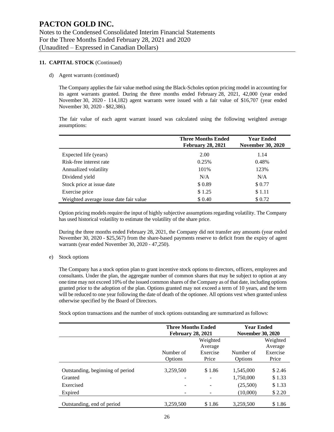#### **11. CAPITAL STOCK** (Continued)

#### d) Agent warrants (continued)

The Company applies the fair value method using the Black-Scholes option pricing model in accounting for its agent warrants granted. During the three months ended February 28, 2021, 42,000 (year ended November 30, 2020 - 114,182) agent warrants were issued with a fair value of \$16,707 (year ended November 30, 2020 - \$82,386).

The fair value of each agent warrant issued was calculated using the following weighted average assumptions:

|                                        | <b>Three Months Ended</b><br><b>February 28, 2021</b> | <b>Year Ended</b><br><b>November 30, 2020</b> |
|----------------------------------------|-------------------------------------------------------|-----------------------------------------------|
| Expected life (years)                  | 2.00                                                  | 1.14                                          |
| Risk-free interest rate                | 0.25%                                                 | 0.48%                                         |
| Annualized volatility                  | 101%                                                  | 123%                                          |
| Dividend yield                         | N/A                                                   | N/A                                           |
| Stock price at issue date              | \$0.89                                                | \$0.77                                        |
| Exercise price                         | \$1.25                                                | \$1.11                                        |
| Weighted average issue date fair value | \$ 0.40                                               | \$0.72                                        |

Option pricing models require the input of highly subjective assumptions regarding volatility. The Company has used historical volatility to estimate the volatility of the share price.

During the three months ended February 28, 2021, the Company did not transfer any amounts (year ended November 30, 2020 - \$25,567) from the share-based payments reserve to deficit from the expiry of agent warrants (year ended November 30, 2020 - 47,250).

#### e) Stock options

The Company has a stock option plan to grant incentive stock options to directors, officers, employees and consultants. Under the plan, the aggregate number of common shares that may be subject to option at any one time may not exceed 10% of the issued common shares of the Company as of that date, including options granted prior to the adoption of the plan. Options granted may not exceed a term of 10 years, and the term will be reduced to one year following the date of death of the optionee. All options vest when granted unless otherwise specified by the Board of Directors.

Stock option transactions and the number of stock options outstanding are summarized as follows:

|                                  | <b>Three Months Ended</b><br><b>February 28, 2021</b> |          | <b>Year Ended</b><br><b>November 30, 2020</b> |          |  |
|----------------------------------|-------------------------------------------------------|----------|-----------------------------------------------|----------|--|
|                                  |                                                       | Weighted |                                               | Weighted |  |
|                                  |                                                       |          | Average                                       |          |  |
|                                  | Number of                                             | Exercise | Number of                                     | Exercise |  |
|                                  | Options                                               | Price    | Options                                       | Price    |  |
| Outstanding, beginning of period | 3,259,500                                             | \$1.86   | 1,545,000                                     | \$2.46   |  |
| Granted                          |                                                       |          | 1,750,000                                     | \$1.33   |  |
| Exercised                        |                                                       |          | (25,500)                                      | \$1.33   |  |
| Expired                          |                                                       |          | (10,000)                                      | \$2.20   |  |
| Outstanding, end of period       | 3.259.500                                             | \$1.86   | 3.259.500                                     | \$1.86   |  |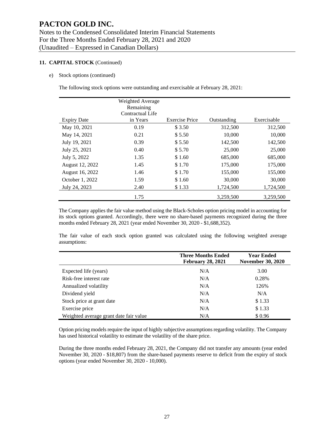#### **11. CAPITAL STOCK** (Continued)

e) Stock options (continued)

The following stock options were outstanding and exercisable at February 28, 2021:

|                    | Weighted Average<br>Remaining<br>Contractual Life |                       |             |             |
|--------------------|---------------------------------------------------|-----------------------|-------------|-------------|
| <b>Expiry Date</b> | in Years                                          | <b>Exercise Price</b> | Outstanding | Exercisable |
| May 10, 2021       | 0.19                                              | \$3.50                | 312,500     | 312,500     |
| May 14, 2021       | 0.21                                              | \$5.50                | 10,000      | 10,000      |
| July 19, 2021      | 0.39                                              | \$5.50                | 142,500     | 142,500     |
| July 25, 2021      | 0.40                                              | \$5.70                | 25,000      | 25,000      |
| July 5, 2022       | 1.35                                              | \$1.60                | 685,000     | 685,000     |
| August 12, 2022    | 1.45                                              | \$1.70                | 175,000     | 175,000     |
| August 16, 2022    | 1.46                                              | \$1.70                | 155,000     | 155,000     |
| October 1, 2022    | 1.59                                              | \$1.60                | 30,000      | 30,000      |
| July 24, 2023      | 2.40                                              | \$1.33                | 1,724,500   | 1,724,500   |
|                    | 1.75                                              |                       | 3,259,500   | 3,259,500   |

The Company applies the fair value method using the Black-Scholes option pricing model in accounting for its stock options granted. Accordingly, there were no share-based payments recognized during the three months ended February 28, 2021 (year ended November 30, 2020 - \$1,688,352).

The fair value of each stock option granted was calculated using the following weighted average assumptions:

|                                        | <b>Three Months Ended</b><br><b>February 28, 2021</b> | <b>Year Ended</b><br><b>November 30, 2020</b> |
|----------------------------------------|-------------------------------------------------------|-----------------------------------------------|
| Expected life (years)                  | N/A                                                   | 3.00                                          |
| Risk-free interest rate                | N/A                                                   | 0.28%                                         |
| Annualized volatility                  | N/A                                                   | 126%                                          |
| Dividend yield                         | N/A                                                   | N/A                                           |
| Stock price at grant date              | N/A                                                   | \$1.33                                        |
| Exercise price                         | N/A                                                   | \$1.33                                        |
| Weighted average grant date fair value | N/A                                                   | \$0.96                                        |

Option pricing models require the input of highly subjective assumptions regarding volatility. The Company has used historical volatility to estimate the volatility of the share price.

During the three months ended February 28, 2021, the Company did not transfer any amounts (year ended November 30, 2020 - \$18,807) from the share-based payments reserve to deficit from the expiry of stock options (year ended November 30, 2020 - 10,000).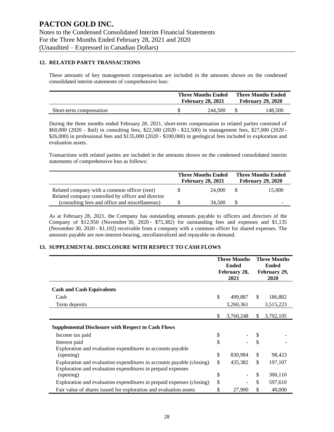#### **12. RELATED PARTY TRANSACTIONS**

These amounts of key management compensation are included in the amounts shown on the condensed consolidated interim statements of comprehensive loss:

|                         | <b>Three Months Ended</b><br><b>February 28, 2021</b> |  | <b>Three Months Ended</b><br><b>February 29, 2020</b> |
|-------------------------|-------------------------------------------------------|--|-------------------------------------------------------|
| Short-term compensation | 244,500                                               |  | 148.500                                               |

During the three months ended February 28, 2021, short-term compensation to related parties consisted of \$60,000 (2020 - \$nil) in consulting fees, \$22,500 (2020 - \$22,500) in management fees, \$27,000 (2020 - \$26,000) in professional fees and \$135,000 (2020 - \$100,000) in geological fees included in exploration and evaluation assets.

Transactions with related parties are included in the amounts shown on the condensed consolidated interim statements of comprehensive loss as follows:

|                                                                                                      |    | <b>Three Months Ended</b><br><b>February 28, 2021</b> | <b>Three Months Ended</b><br><b>February 29, 2020</b> |        |
|------------------------------------------------------------------------------------------------------|----|-------------------------------------------------------|-------------------------------------------------------|--------|
| Related company with a common officer (rent)                                                         | Ж. | 24,000                                                | -SS                                                   | 15,000 |
| Related company controlled by officer and director<br>(consulting fees and office and miscellaneous) |    | 34,500                                                |                                                       |        |

As at February 28, 2021, the Company has outstanding amounts payable to officers and directors of the Company of \$12,950 (November 30, 2020 - \$75,382) for outstanding fees and expenses and \$1,135 (November 30, 2020 - \$1,102) receivable from a company with a common officer for shared expenses. The amounts payable are non-interest-bearing, uncollateralized and repayable on demand.

#### **13. SUPPLEMENTAL DISCLOSURE WITH RESPECT TO CASH FLOWS**

|                                                                       | <b>Three Months</b><br><b>Ended</b><br>February 28,<br>2021 |    | <b>Three Months</b><br><b>Ended</b><br>February 29,<br>2020 |  |
|-----------------------------------------------------------------------|-------------------------------------------------------------|----|-------------------------------------------------------------|--|
| <b>Cash and Cash Equivalents</b>                                      |                                                             |    |                                                             |  |
| Cash                                                                  | \$<br>499,887                                               | \$ | 186,882                                                     |  |
| Term deposits                                                         | 3,260,361                                                   |    | 3,515,223                                                   |  |
|                                                                       | \$<br>3,760,248                                             | \$ | 3,702,105                                                   |  |
| <b>Supplemental Disclosure with Respect to Cash Flows</b>             |                                                             |    |                                                             |  |
| Income tax paid                                                       | \$                                                          |    |                                                             |  |
| Interest paid                                                         | \$                                                          | \$ |                                                             |  |
| Exploration and evaluation expenditures in accounts payable           |                                                             |    |                                                             |  |
| (opening)                                                             | \$<br>830,984                                               | \$ | 98,423                                                      |  |
| Exploration and evaluation expenditures in accounts payable (closing) | \$<br>435,382                                               | \$ | 197,107                                                     |  |
| Exploration and evaluation expenditures in prepaid expenses           |                                                             |    |                                                             |  |
| (opening)                                                             | \$                                                          | \$ | 300,110                                                     |  |
| Exploration and evaluation expenditures in prepaid expenses (closing) | \$                                                          | \$ | 597,610                                                     |  |
| Fair value of shares issued for exploration and evaluation assets     | \$<br>27,900                                                | \$ | 40,000                                                      |  |